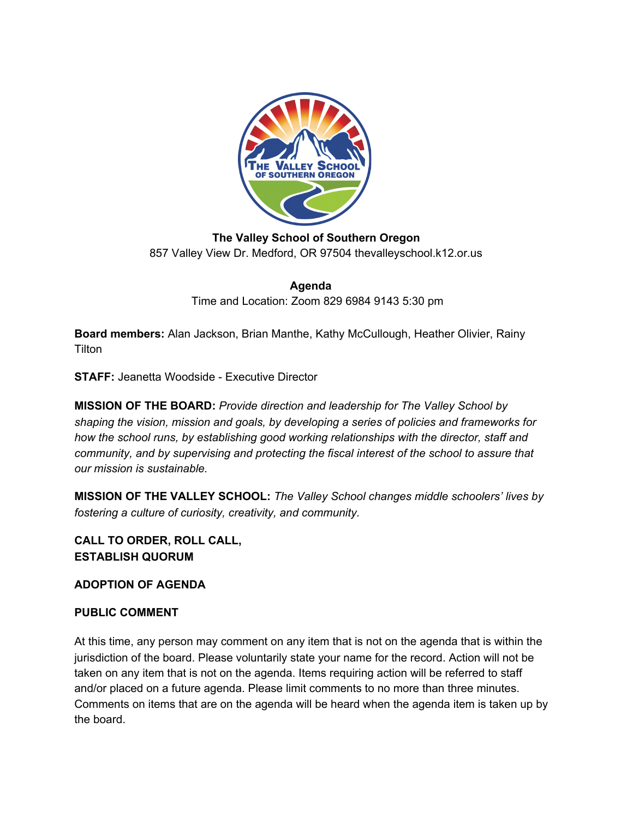

**The Valley School of Southern Oregon** 857 Valley View Dr. Medford, OR 97504 thevalleyschool.k12.or.us

> **Agenda** Time and Location: Zoom 829 6984 9143 5:30 pm

**Board members:** Alan Jackson, Brian Manthe, Kathy McCullough, Heather Olivier, Rainy **Tilton** 

**STAFF:** Jeanetta Woodside - Executive Director

**MISSION OF THE BOARD:** *Provide direction and leadership for The Valley School by shaping the vision, mission and goals, by developing a series of policies and frameworks for how the school runs, by establishing good working relationships with the director, staff and community, and by supervising and protecting the fiscal interest of the school to assure that our mission is sustainable.*

**MISSION OF THE VALLEY SCHOOL:** *The Valley School changes middle schoolers' lives by fostering a culture of curiosity, creativity, and community.*

**CALL TO ORDER, ROLL CALL, ESTABLISH QUORUM**

**ADOPTION OF AGENDA**

## **PUBLIC COMMENT**

At this time, any person may comment on any item that is not on the agenda that is within the jurisdiction of the board. Please voluntarily state your name for the record. Action will not be taken on any item that is not on the agenda. Items requiring action will be referred to staff and/or placed on a future agenda. Please limit comments to no more than three minutes. Comments on items that are on the agenda will be heard when the agenda item is taken up by the board.